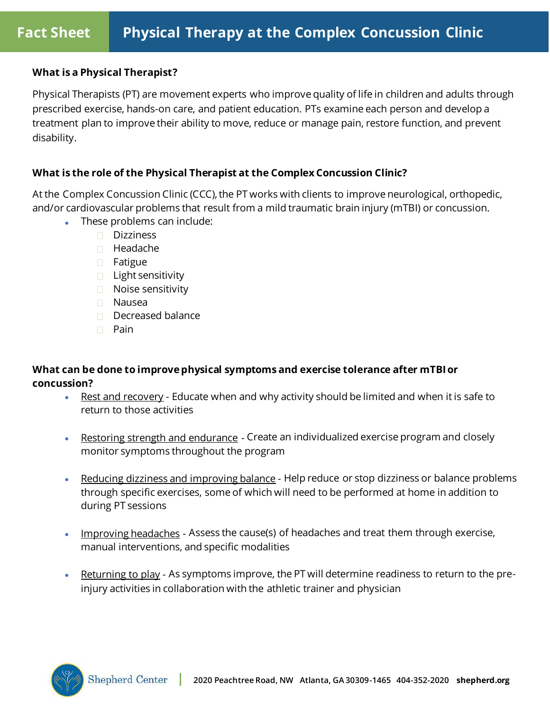## **What is a Physical Therapist?**

Physical Therapists (PT) are movement experts who improve quality of life in children and adults through prescribed exercise, hands-on care, and patient education. PTs examine each person and develop a treatment plan to improve their ability to move, reduce or manage pain, restore function, and prevent disability.

## **What is the role of the Physical Therapist at the Complex Concussion Clinic?**

At the Complex Concussion Clinic (CCC), the PT works with clients to improve neurological, orthopedic, and/or cardiovascular problems that result from a mild traumatic brain injury (mTBI) or concussion.

- These problems can include:
	- □ Dizziness
	- $\Box$  Headache
	- **D** Fatigue
	- $\Box$  Light sensitivity
	- **Noise sensitivity**
	- Nausea
	- $\Box$  Decreased balance
	- $\Box$  Pain

# **What can be done to improve physical symptoms and exercise tolerance after mTBI or concussion?**

- Rest and recovery Educate when and why activity should be limited and when it is safe to return to those activities
- Restoring strength and endurance Create an individualized exercise program and closely monitor symptoms throughout the program
- Reducing dizziness and improving balance Help reduce or stop dizziness or balance problems through specific exercises, some of which will need to be performed at home in addition to during PT sessions
- Improving headaches Assess the cause(s) of headaches and treat them through exercise, manual interventions, and specific modalities
- Returning to play As symptoms improve, the PT will determine readiness to return to the preinjury activities in collaboration with the athletic trainer and physician